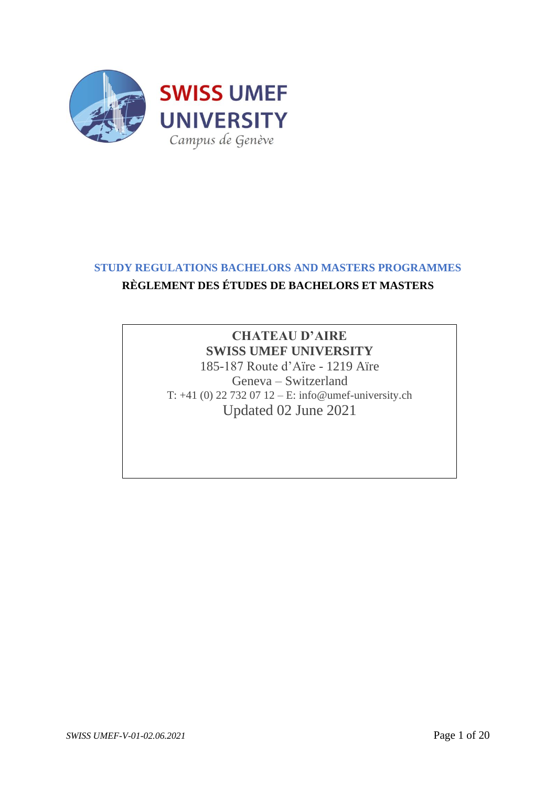

# **STUDY REGULATIONS BACHELORS AND MASTERS PROGRAMMES**

# **RÈGLEMENT DES ÉTUDES DE BACHELORS ET MASTERS**

# **CHATEAU D'AIRE SWISS UMEF UNIVERSITY**

185-187 Route d'Aïre - 1219 Aïre Geneva – Switzerland T: +41 (0) 22 732 07 12 – E: info@umef-university.ch Updated 02 June 2021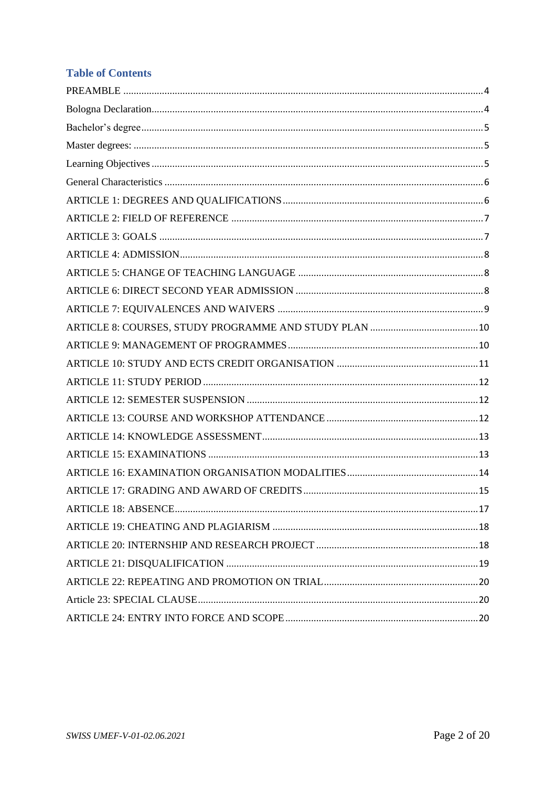# **Table of Contents**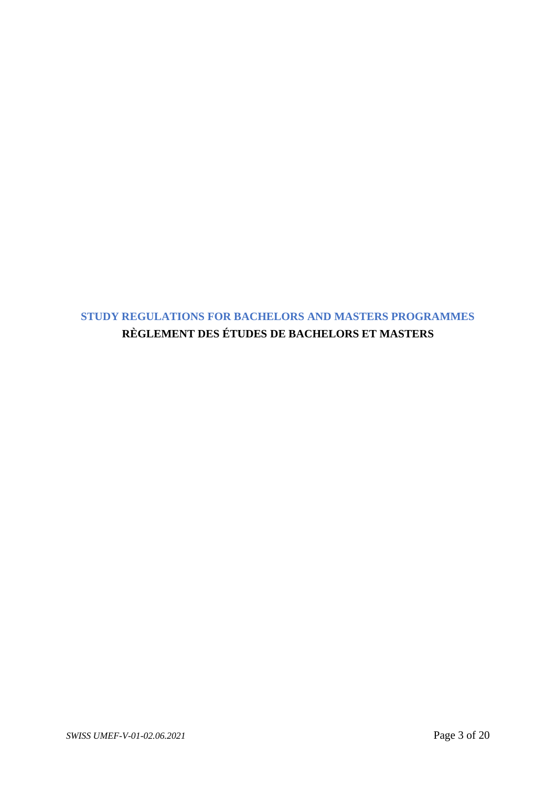**STUDY REGULATIONS FOR BACHELORS AND MASTERS PROGRAMMES RÈGLEMENT DES ÉTUDES DE BACHELORS ET MASTERS**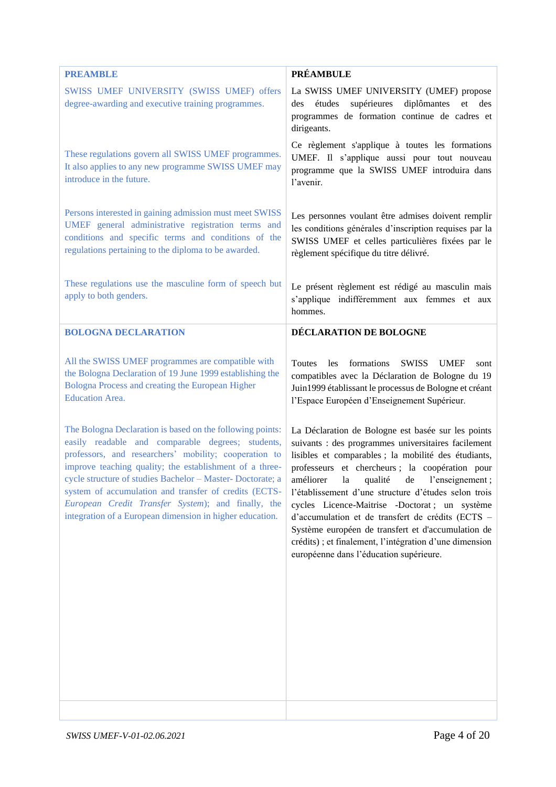<span id="page-3-1"></span><span id="page-3-0"></span>

| <b>PREAMBLE</b>                                                                                                                                                                                                                                                                                                                                                                                                                                                             | <b>PRÉAMBULE</b>                                                                                                                                                                                                                                                                                                                                                                                                                                                                                                                                                                                     |
|-----------------------------------------------------------------------------------------------------------------------------------------------------------------------------------------------------------------------------------------------------------------------------------------------------------------------------------------------------------------------------------------------------------------------------------------------------------------------------|------------------------------------------------------------------------------------------------------------------------------------------------------------------------------------------------------------------------------------------------------------------------------------------------------------------------------------------------------------------------------------------------------------------------------------------------------------------------------------------------------------------------------------------------------------------------------------------------------|
| SWISS UMEF UNIVERSITY (SWISS UMEF) offers<br>degree-awarding and executive training programmes.                                                                                                                                                                                                                                                                                                                                                                             | La SWISS UMEF UNIVERSITY (UMEF) propose<br>supérieures<br>diplômantes<br>études<br>des<br>des<br>et<br>programmes de formation continue de cadres et<br>dirigeants.                                                                                                                                                                                                                                                                                                                                                                                                                                  |
| These regulations govern all SWISS UMEF programmes.<br>It also applies to any new programme SWISS UMEF may<br>introduce in the future.                                                                                                                                                                                                                                                                                                                                      | Ce règlement s'applique à toutes les formations<br>UMEF. Il s'applique aussi pour tout nouveau<br>programme que la SWISS UMEF introduira dans<br>l'avenir.                                                                                                                                                                                                                                                                                                                                                                                                                                           |
| Persons interested in gaining admission must meet SWISS<br>UMEF general administrative registration terms and<br>conditions and specific terms and conditions of the<br>regulations pertaining to the diploma to be awarded.                                                                                                                                                                                                                                                | Les personnes voulant être admises doivent remplir<br>les conditions générales d'inscription requises par la<br>SWISS UMEF et celles particulières fixées par le<br>règlement spécifique du titre délivré.                                                                                                                                                                                                                                                                                                                                                                                           |
| These regulations use the masculine form of speech but<br>apply to both genders.                                                                                                                                                                                                                                                                                                                                                                                            | Le présent règlement est rédigé au masculin mais<br>s'applique indifféremment aux femmes et aux<br>hommes.                                                                                                                                                                                                                                                                                                                                                                                                                                                                                           |
| <b>BOLOGNA DECLARATION</b>                                                                                                                                                                                                                                                                                                                                                                                                                                                  | DÉCLARATION DE BOLOGNE                                                                                                                                                                                                                                                                                                                                                                                                                                                                                                                                                                               |
| All the SWISS UMEF programmes are compatible with<br>the Bologna Declaration of 19 June 1999 establishing the<br>Bologna Process and creating the European Higher<br><b>Education Area.</b>                                                                                                                                                                                                                                                                                 | formations<br>Toutes<br>les<br>SWISS UMEF<br>sont<br>compatibles avec la Déclaration de Bologne du 19<br>Juin 1999 établissant le processus de Bologne et créant<br>l'Espace Européen d'Enseignement Supérieur.                                                                                                                                                                                                                                                                                                                                                                                      |
| The Bologna Declaration is based on the following points:<br>easily readable and comparable degrees; students,<br>professors, and researchers' mobility; cooperation to<br>improve teaching quality; the establishment of a three-<br>cycle structure of studies Bachelor - Master- Doctorate; a<br>system of accumulation and transfer of credits (ECTS-<br>European Credit Transfer System); and finally, the<br>integration of a European dimension in higher education. | La Déclaration de Bologne est basée sur les points<br>suivants : des programmes universitaires facilement<br>lisibles et comparables ; la mobilité des étudiants,<br>professeurs et chercheurs; la coopération pour<br>améliorer<br>l'enseignement;<br>la<br>qualité<br>de<br>l'établissement d'une structure d'études selon trois<br>cycles Licence-Maitrise -Doctorat; un système<br>d'accumulation et de transfert de crédits (ECTS -<br>Système européen de transfert et d'accumulation de<br>crédits) ; et finalement, l'intégration d'une dimension<br>européenne dans l'éducation supérieure. |
|                                                                                                                                                                                                                                                                                                                                                                                                                                                                             |                                                                                                                                                                                                                                                                                                                                                                                                                                                                                                                                                                                                      |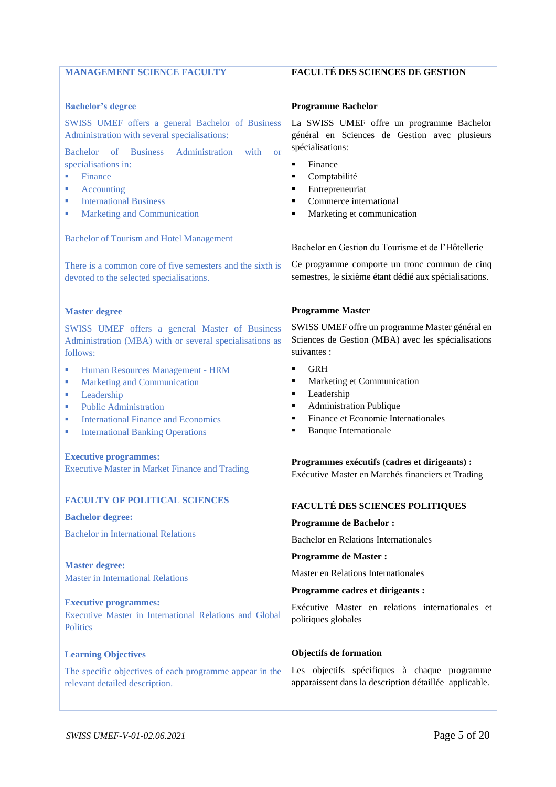<span id="page-4-2"></span><span id="page-4-1"></span><span id="page-4-0"></span>

| <b>MANAGEMENT SCIENCE FACULTY</b>                                                                | <b>FACULTÉ DES SCIENCES DE GESTION</b>                                                             |
|--------------------------------------------------------------------------------------------------|----------------------------------------------------------------------------------------------------|
|                                                                                                  |                                                                                                    |
| <b>Bachelor's degree</b>                                                                         | <b>Programme Bachelor</b>                                                                          |
| SWISS UMEF offers a general Bachelor of Business<br>Administration with several specialisations: | La SWISS UMEF offre un programme Bachelor<br>général en Sciences de Gestion avec plusieurs         |
| Bachelor of Business Administration<br>with<br><b>or</b>                                         | spécialisations:                                                                                   |
| specialisations in:<br>Finance                                                                   | Finance<br>$\blacksquare$<br>Comptabilité<br>٠                                                     |
| Accounting<br>L.                                                                                 | Entrepreneuriat<br>٠                                                                               |
| <b>International Business</b><br>×                                                               | Commerce international<br>٠                                                                        |
| <b>Marketing and Communication</b><br>L.                                                         | Marketing et communication<br>٠                                                                    |
| <b>Bachelor of Tourism and Hotel Management</b>                                                  | Bachelor en Gestion du Tourisme et de l'Hôtellerie                                                 |
| There is a common core of five semesters and the sixth is                                        | Ce programme comporte un tronc commun de cinq                                                      |
| devoted to the selected specialisations.                                                         | semestres, le sixième étant dédié aux spécialisations.                                             |
| <b>Master degree</b>                                                                             | <b>Programme Master</b>                                                                            |
| SWISS UMEF offers a general Master of Business                                                   | SWISS UMEF offre un programme Master général en                                                    |
| Administration (MBA) with or several specialisations as<br>follows:                              | Sciences de Gestion (MBA) avec les spécialisations<br>suivantes :                                  |
| Human Resources Management - HRM<br>L.                                                           | <b>GRH</b><br>×                                                                                    |
| <b>Marketing and Communication</b><br>u,                                                         | Marketing et Communication<br>٠                                                                    |
| Leadership<br>L.                                                                                 | Leadership<br>٠<br>٠                                                                               |
| <b>Public Administration</b><br>L.<br><b>International Finance and Economics</b><br>L.           | Administration Publique<br>Finance et Economie Internationales<br>٠                                |
| <b>International Banking Operations</b><br>×                                                     | <b>Banque Internationale</b><br>٠                                                                  |
| <b>Executive programmes:</b>                                                                     |                                                                                                    |
| <b>Executive Master in Market Finance and Trading</b>                                            | Programmes exécutifs (cadres et dirigeants) :<br>Exécutive Master en Marchés financiers et Trading |
|                                                                                                  |                                                                                                    |
| <b>FACULTY OF POLITICAL SCIENCES</b>                                                             | <b>FACULTÉ DES SCIENCES POLITIQUES</b>                                                             |
| <b>Bachelor degree:</b>                                                                          | <b>Programme de Bachelor:</b>                                                                      |
| <b>Bachelor</b> in International Relations                                                       | <b>Bachelor en Relations Internationales</b>                                                       |
| <b>Master degree:</b>                                                                            | <b>Programme de Master:</b>                                                                        |
| <b>Master in International Relations</b>                                                         | Master en Relations Internationales                                                                |
|                                                                                                  | Programme cadres et dirigeants :                                                                   |
| <b>Executive programmes:</b><br>Executive Master in International Relations and Global           | Exécutive Master en relations internationales et<br>politiques globales                            |
| <b>Politics</b>                                                                                  |                                                                                                    |
| <b>Learning Objectives</b>                                                                       | <b>Objectifs de formation</b>                                                                      |
| The specific objectives of each programme appear in the                                          | Les objectifs spécifiques à chaque programme                                                       |
| relevant detailed description.                                                                   | apparaissent dans la description détaillée applicable.                                             |
|                                                                                                  |                                                                                                    |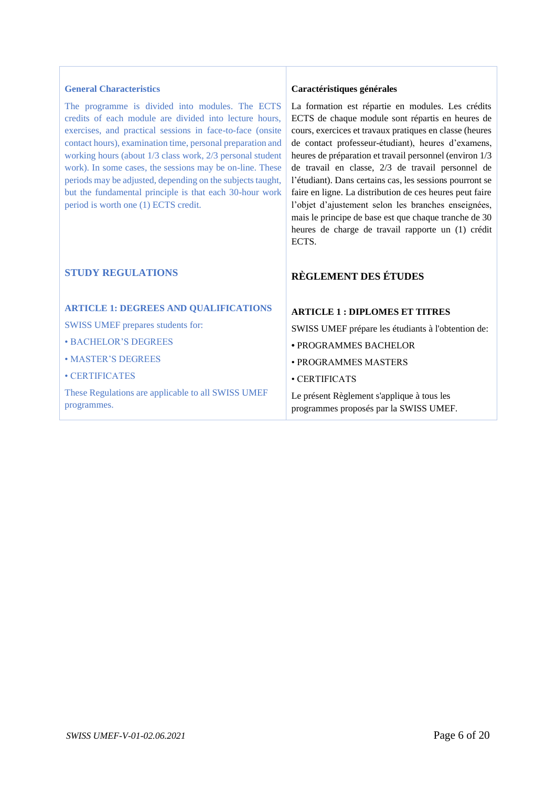#### <span id="page-5-0"></span>**General Characteristics**

The programme is divided into modules. The ECTS credits of each module are divided into lecture hours, exercises, and practical sessions in face-to-face (onsite contact hours), examination time, personal preparation and working hours (about 1/3 class work, 2/3 personal student work). In some cases, the sessions may be on-line. These periods may be adjusted, depending on the subjects taught, but the fundamental principle is that each 30-hour work period is worth one (1) ECTS credit.

### **STUDY REGULATIONS**

#### <span id="page-5-1"></span>**ARTICLE 1: DEGREES AND QUALIFICATIONS**

SWISS UMEF prepares students for:

• BACHELOR'S DEGREES

• MASTER'S DEGREES

• CERTIFICATES

These Regulations are applicable to all SWISS UMEF programmes.

#### **Caractéristiques générales**

La formation est répartie en modules. Les crédits ECTS de chaque module sont répartis en heures de cours, exercices et travaux pratiques en classe (heures de contact professeur-étudiant), heures d'examens, heures de préparation et travail personnel (environ 1/3 de travail en classe, 2/3 de travail personnel de l'étudiant). Dans certains cas, les sessions pourront se faire en ligne. La distribution de ces heures peut faire l'objet d'ajustement selon les branches enseignées, mais le principe de base est que chaque tranche de 30 heures de charge de travail rapporte un (1) crédit ECTS.

## **RÈGLEMENT DES ÉTUDES**

#### **ARTICLE 1 : DIPLOMES ET TITRES**

SWISS UMEF prépare les étudiants à l'obtention de:

- PROGRAMMES BACHELOR
- PROGRAMMES MASTERS
- CERTIFICATS

Le présent Règlement s'applique à tous les programmes proposés par la SWISS UMEF.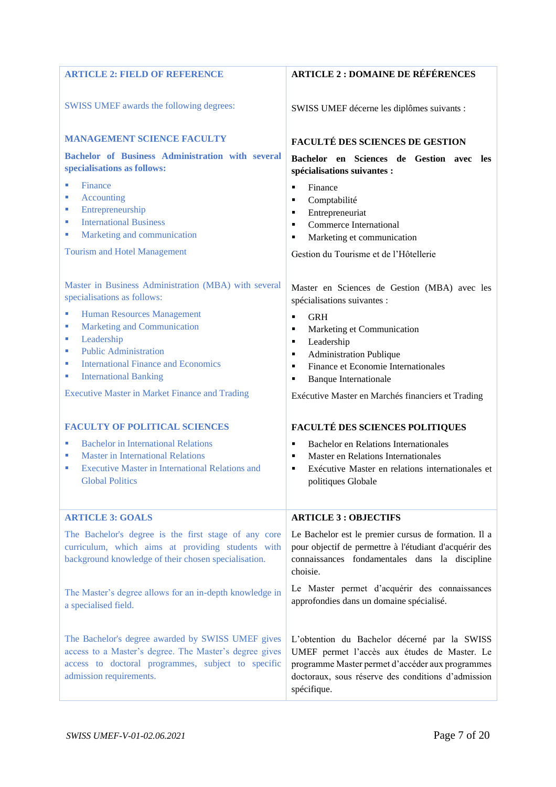<span id="page-6-1"></span><span id="page-6-0"></span>

| <b>ARTICLE 2: FIELD OF REFERENCE</b>                                                                                                                                                                                       | <b>ARTICLE 2: DOMAINE DE RÉFÉRENCES</b>                                                                                                                                                                               |
|----------------------------------------------------------------------------------------------------------------------------------------------------------------------------------------------------------------------------|-----------------------------------------------------------------------------------------------------------------------------------------------------------------------------------------------------------------------|
| SWISS UMEF awards the following degrees:                                                                                                                                                                                   | SWISS UMEF décerne les diplômes suivants :                                                                                                                                                                            |
| <b>MANAGEMENT SCIENCE FACULTY</b>                                                                                                                                                                                          | <b>FACULTÉ DES SCIENCES DE GESTION</b>                                                                                                                                                                                |
| Bachelor of Business Administration with several<br>specialisations as follows:                                                                                                                                            | Bachelor en Sciences de Gestion avec<br><b>les</b><br>spécialisations suivantes :                                                                                                                                     |
| Finance<br><b>Accounting</b><br>L.<br>Entrepreneurship<br>L.<br><b>International Business</b><br>L.<br>Marketing and communication<br>×<br><b>Tourism and Hotel Management</b>                                             | Finance<br>٠<br>Comptabilité<br>٠<br>Entrepreneuriat<br>٠<br><b>Commerce International</b><br>Marketing et communication<br>٠<br>Gestion du Tourisme et de l'Hôtellerie                                               |
| Master in Business Administration (MBA) with several<br>specialisations as follows:                                                                                                                                        | Master en Sciences de Gestion (MBA) avec les<br>spécialisations suivantes :                                                                                                                                           |
| <b>Human Resources Management</b><br><b>Marketing and Communication</b><br>u,<br>Leadership<br>u,<br><b>Public Administration</b><br>×<br><b>International Finance and Economics</b><br><b>International Banking</b><br>×, | <b>GRH</b><br>$\blacksquare$<br>Marketing et Communication<br>٠<br>Leadership<br>٠<br>Administration Publique<br>٠<br>Finance et Economie Internationales<br>٠<br><b>Banque Internationale</b><br>٠                   |
| <b>Executive Master in Market Finance and Trading</b>                                                                                                                                                                      | Exécutive Master en Marchés financiers et Trading                                                                                                                                                                     |
| <b>FACULTY OF POLITICAL SCIENCES</b>                                                                                                                                                                                       | <b>FACULTÉ DES SCIENCES POLITIQUES</b>                                                                                                                                                                                |
| <b>Bachelor</b> in International Relations<br><b>Master in International Relations</b><br>ш<br><b>Executive Master in International Relations and</b><br>L.<br><b>Global Politics</b>                                      | <b>Bachelor en Relations Internationales</b><br>٠<br>Master en Relations Internationales<br>٠<br>Exécutive Master en relations internationales et<br>٠<br>politiques Globale                                          |
| <b>ARTICLE 3: GOALS</b>                                                                                                                                                                                                    | <b>ARTICLE 3: OBJECTIFS</b>                                                                                                                                                                                           |
| The Bachelor's degree is the first stage of any core<br>curriculum, which aims at providing students with<br>background knowledge of their chosen specialisation.                                                          | Le Bachelor est le premier cursus de formation. Il a<br>pour objectif de permettre à l'étudiant d'acquérir des<br>connaissances fondamentales dans la discipline<br>choisie.                                          |
| The Master's degree allows for an in-depth knowledge in<br>a specialised field.                                                                                                                                            | Le Master permet d'acquérir des connaissances<br>approfondies dans un domaine spécialisé.                                                                                                                             |
| The Bachelor's degree awarded by SWISS UMEF gives<br>access to a Master's degree. The Master's degree gives<br>access to doctoral programmes, subject to specific<br>admission requirements.                               | L'obtention du Bachelor décerné par la SWISS<br>UMEF permet l'accès aux études de Master. Le<br>programme Master permet d'accéder aux programmes<br>doctoraux, sous réserve des conditions d'admission<br>spécifique. |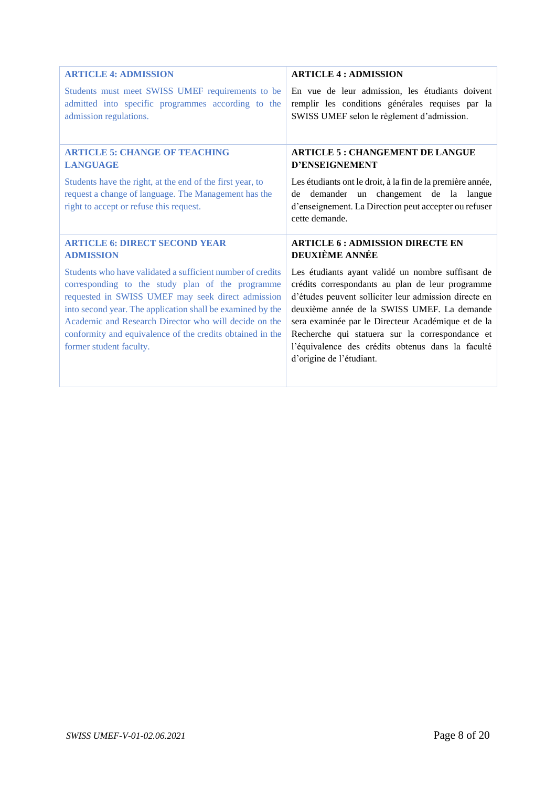<span id="page-7-2"></span><span id="page-7-1"></span><span id="page-7-0"></span>

| <b>ARTICLE 4: ADMISSION</b>                                                                                                                                                                                                                                                                                                                                                        | <b>ARTICLE 4: ADMISSION</b>                                                                                                                                                                                                                                                                                                                                                                             |
|------------------------------------------------------------------------------------------------------------------------------------------------------------------------------------------------------------------------------------------------------------------------------------------------------------------------------------------------------------------------------------|---------------------------------------------------------------------------------------------------------------------------------------------------------------------------------------------------------------------------------------------------------------------------------------------------------------------------------------------------------------------------------------------------------|
| Students must meet SWISS UMEF requirements to be                                                                                                                                                                                                                                                                                                                                   | En vue de leur admission, les étudiants doivent                                                                                                                                                                                                                                                                                                                                                         |
| admitted into specific programmes according to the                                                                                                                                                                                                                                                                                                                                 | remplir les conditions générales requises par la                                                                                                                                                                                                                                                                                                                                                        |
| admission regulations.                                                                                                                                                                                                                                                                                                                                                             | SWISS UMEF selon le règlement d'admission.                                                                                                                                                                                                                                                                                                                                                              |
| <b>ARTICLE 5: CHANGE OF TEACHING</b>                                                                                                                                                                                                                                                                                                                                               | <b>ARTICLE 5: CHANGEMENT DE LANGUE</b>                                                                                                                                                                                                                                                                                                                                                                  |
| <b>LANGUAGE</b>                                                                                                                                                                                                                                                                                                                                                                    | <b>D'ENSEIGNEMENT</b>                                                                                                                                                                                                                                                                                                                                                                                   |
| Students have the right, at the end of the first year, to<br>request a change of language. The Management has the<br>right to accept or refuse this request.                                                                                                                                                                                                                       | Les étudiants ont le droit, à la fin de la première année,<br>demander un changement de la langue<br>de<br>d'enseignement. La Direction peut accepter ou refuser<br>cette demande.                                                                                                                                                                                                                      |
| <b>ARTICLE 6: DIRECT SECOND YEAR</b>                                                                                                                                                                                                                                                                                                                                               | <b>ARTICLE 6: ADMISSION DIRECTE EN</b>                                                                                                                                                                                                                                                                                                                                                                  |
| <b>ADMISSION</b>                                                                                                                                                                                                                                                                                                                                                                   | <b>DEUXIÈME ANNÉE</b>                                                                                                                                                                                                                                                                                                                                                                                   |
| Students who have validated a sufficient number of credits<br>corresponding to the study plan of the programme<br>requested in SWISS UMEF may seek direct admission<br>into second year. The application shall be examined by the<br>Academic and Research Director who will decide on the<br>conformity and equivalence of the credits obtained in the<br>former student faculty. | Les étudiants ayant validé un nombre suffisant de<br>crédits correspondants au plan de leur programme<br>d'études peuvent solliciter leur admission directe en<br>deuxième année de la SWISS UMEF. La demande<br>sera examinée par le Directeur Académique et de la<br>Recherche qui statuera sur la correspondance et<br>l'équivalence des crédits obtenus dans la faculté<br>d'origine de l'étudiant. |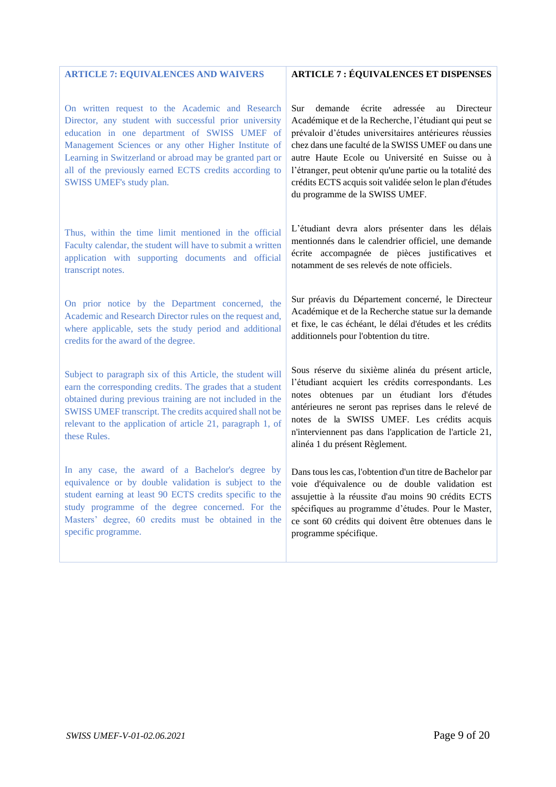#### <span id="page-8-0"></span>**ARTICLE 7: EQUIVALENCES AND WAIVERS**

On written request to the Academic and Research Director, any student with successful prior university education in one department of SWISS UMEF of Management Sciences or any other Higher Institute of Learning in Switzerland or abroad may be granted part or all of the previously earned ECTS credits according to SWISS UMEF's study plan.

Thus, within the time limit mentioned in the official Faculty calendar, the student will have to submit a written application with supporting documents and official transcript notes.

On prior notice by the Department concerned, the Academic and Research Director rules on the request and, where applicable, sets the study period and additional credits for the award of the degree.

Subject to paragraph six of this Article, the student will earn the corresponding credits. The grades that a student obtained during previous training are not included in the SWISS UMEF transcript. The credits acquired shall not be relevant to the application of article 21, paragraph 1, of these Rules.

In any case, the award of a Bachelor's degree by equivalence or by double validation is subject to the student earning at least 90 ECTS credits specific to the study programme of the degree concerned. For the Masters' degree, 60 credits must be obtained in the specific programme.

#### **ARTICLE 7 : ÉQUIVALENCES ET DISPENSES**

Sur demande écrite adressée au Directeur Académique et de la Recherche, l'étudiant qui peut se prévaloir d'études universitaires antérieures réussies chez dans une faculté de la SWISS UMEF ou dans une autre Haute Ecole ou Université en Suisse ou à l'étranger, peut obtenir qu'une partie ou la totalité des crédits ECTS acquis soit validée selon le plan d'études du programme de la SWISS UMEF.

L'étudiant devra alors présenter dans les délais mentionnés dans le calendrier officiel, une demande écrite accompagnée de pièces justificatives et notamment de ses relevés de note officiels.

Sur préavis du Département concerné, le Directeur Académique et de la Recherche statue sur la demande et fixe, le cas échéant, le délai d'études et les crédits additionnels pour l'obtention du titre.

Sous réserve du sixième alinéa du présent article, l'étudiant acquiert les crédits correspondants. Les notes obtenues par un étudiant lors d'études antérieures ne seront pas reprises dans le relevé de notes de la SWISS UMEF. Les crédits acquis n'interviennent pas dans l'application de l'article 21, alinéa 1 du présent Règlement.

Dans tous les cas, l'obtention d'un titre de Bachelor par voie d'équivalence ou de double validation est assujettie à la réussite d'au moins 90 crédits ECTS spécifiques au programme d'études. Pour le Master, ce sont 60 crédits qui doivent être obtenues dans le programme spécifique.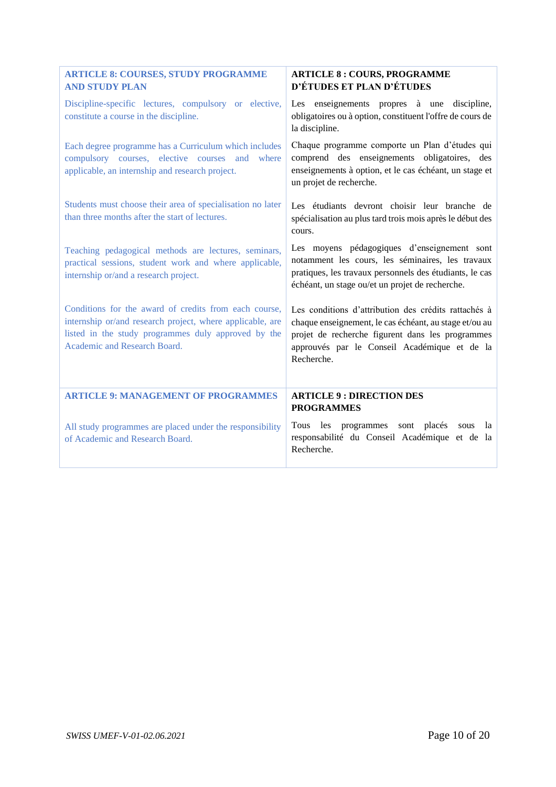<span id="page-9-1"></span><span id="page-9-0"></span>

| <b>ARTICLE 8: COURSES, STUDY PROGRAMME</b><br><b>AND STUDY PLAN</b>                                                                                                                                       | <b>ARTICLE 8: COURS, PROGRAMME</b><br>D'ÉTUDES ET PLAN D'ÉTUDES                                                                                                                                                                  |
|-----------------------------------------------------------------------------------------------------------------------------------------------------------------------------------------------------------|----------------------------------------------------------------------------------------------------------------------------------------------------------------------------------------------------------------------------------|
| Discipline-specific lectures, compulsory or elective,<br>constitute a course in the discipline.                                                                                                           | Les enseignements propres à une discipline,<br>obligatoires ou à option, constituent l'offre de cours de<br>la discipline.                                                                                                       |
| Each degree programme has a Curriculum which includes<br>compulsory courses, elective courses and where<br>applicable, an internship and research project.                                                | Chaque programme comporte un Plan d'études qui<br>comprend des enseignements obligatoires, des<br>enseignements à option, et le cas échéant, un stage et<br>un projet de recherche.                                              |
| Students must choose their area of specialisation no later<br>than three months after the start of lectures.                                                                                              | Les étudiants devront choisir leur branche de<br>spécialisation au plus tard trois mois après le début des<br>cours.                                                                                                             |
| Teaching pedagogical methods are lectures, seminars,<br>practical sessions, student work and where applicable,<br>internship or/and a research project.                                                   | Les moyens pédagogiques d'enseignement sont<br>notamment les cours, les séminaires, les travaux<br>pratiques, les travaux personnels des étudiants, le cas<br>échéant, un stage ou/et un projet de recherche.                    |
| Conditions for the award of credits from each course,<br>internship or/and research project, where applicable, are<br>listed in the study programmes duly approved by the<br>Academic and Research Board. | Les conditions d'attribution des crédits rattachés à<br>chaque enseignement, le cas échéant, au stage et/ou au<br>projet de recherche figurent dans les programmes<br>approuvés par le Conseil Académique et de la<br>Recherche. |
| <b>ARTICLE 9: MANAGEMENT OF PROGRAMMES</b>                                                                                                                                                                | <b>ARTICLE 9: DIRECTION DES</b><br><b>PROGRAMMES</b>                                                                                                                                                                             |
| All study programmes are placed under the responsibility<br>of Academic and Research Board.                                                                                                               | les programmes sont placés<br><b>Tous</b><br>la<br>sous<br>responsabilité du Conseil Académique et de la<br>Recherche.                                                                                                           |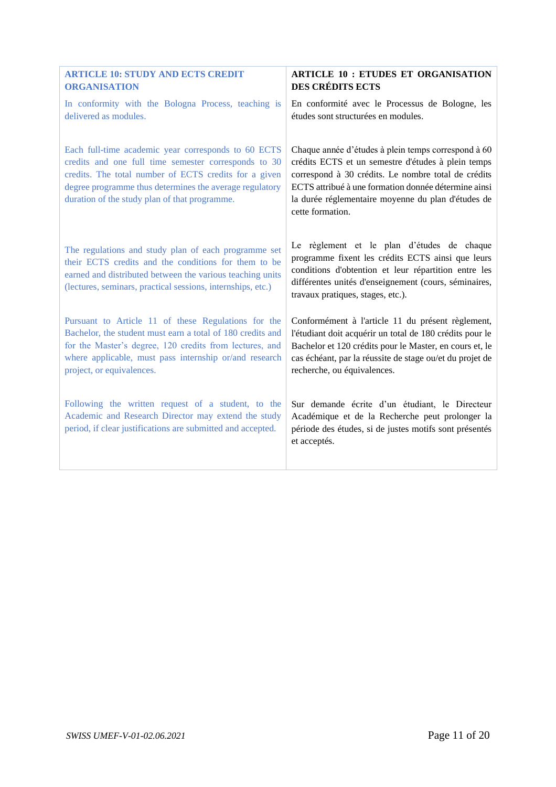<span id="page-10-0"></span>

| <b>ARTICLE 10: STUDY AND ECTS CREDIT</b>                                                                                                                                                                                                                                         | <b>ARTICLE 10 : ETUDES ET ORGANISATION</b>                                                                                                                                                                                                                                                         |
|----------------------------------------------------------------------------------------------------------------------------------------------------------------------------------------------------------------------------------------------------------------------------------|----------------------------------------------------------------------------------------------------------------------------------------------------------------------------------------------------------------------------------------------------------------------------------------------------|
| <b>ORGANISATION</b>                                                                                                                                                                                                                                                              | <b>DES CRÉDITS ECTS</b>                                                                                                                                                                                                                                                                            |
| In conformity with the Bologna Process, teaching is                                                                                                                                                                                                                              | En conformité avec le Processus de Bologne, les                                                                                                                                                                                                                                                    |
| delivered as modules.                                                                                                                                                                                                                                                            | études sont structurées en modules.                                                                                                                                                                                                                                                                |
| Each full-time academic year corresponds to 60 ECTS<br>credits and one full time semester corresponds to 30<br>credits. The total number of ECTS credits for a given<br>degree programme thus determines the average regulatory<br>duration of the study plan of that programme. | Chaque année d'études à plein temps correspond à 60<br>crédits ECTS et un semestre d'études à plein temps<br>correspond à 30 crédits. Le nombre total de crédits<br>ECTS attribué à une formation donnée détermine ainsi<br>la durée réglementaire moyenne du plan d'études de<br>cette formation. |
| The regulations and study plan of each programme set<br>their ECTS credits and the conditions for them to be<br>earned and distributed between the various teaching units<br>(lectures, seminars, practical sessions, internships, etc.)                                         | Le règlement et le plan d'études de chaque<br>programme fixent les crédits ECTS ainsi que leurs<br>conditions d'obtention et leur répartition entre les<br>différentes unités d'enseignement (cours, séminaires,<br>travaux pratiques, stages, etc.).                                              |
| Pursuant to Article 11 of these Regulations for the                                                                                                                                                                                                                              | Conformément à l'article 11 du présent règlement,                                                                                                                                                                                                                                                  |
| Bachelor, the student must earn a total of 180 credits and                                                                                                                                                                                                                       | l'étudiant doit acquérir un total de 180 crédits pour le                                                                                                                                                                                                                                           |
| for the Master's degree, 120 credits from lectures, and                                                                                                                                                                                                                          | Bachelor et 120 crédits pour le Master, en cours et, le                                                                                                                                                                                                                                            |
| where applicable, must pass internship or/and research                                                                                                                                                                                                                           | cas échéant, par la réussite de stage ou/et du projet de                                                                                                                                                                                                                                           |
| project, or equivalences.                                                                                                                                                                                                                                                        | recherche, ou équivalences.                                                                                                                                                                                                                                                                        |
| Following the written request of a student, to the<br>Academic and Research Director may extend the study<br>period, if clear justifications are submitted and accepted.                                                                                                         | Sur demande écrite d'un étudiant, le Directeur<br>Académique et de la Recherche peut prolonger la<br>période des études, si de justes motifs sont présentés<br>et acceptés.                                                                                                                        |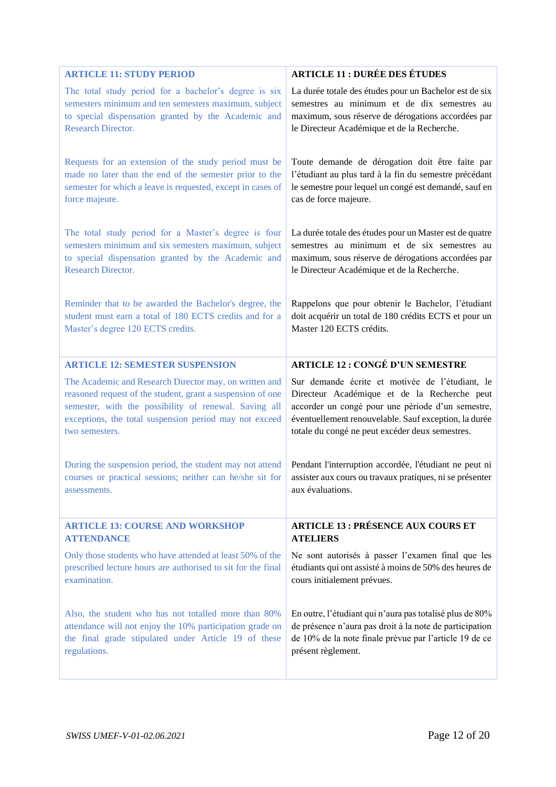<span id="page-11-2"></span><span id="page-11-1"></span><span id="page-11-0"></span>

| <b>ARTICLE 11: STUDY PERIOD</b>                              | <b>ARTICLE 11 : DURÉE DES ÉTUDES</b>                     |
|--------------------------------------------------------------|----------------------------------------------------------|
| The total study period for a bachelor's degree is six        | La durée totale des études pour un Bachelor est de six   |
| semesters minimum and ten semesters maximum, subject         | semestres au minimum et de dix semestres au              |
| to special dispensation granted by the Academic and          | maximum, sous réserve de dérogations accordées par       |
| <b>Research Director.</b>                                    | le Directeur Académique et de la Recherche.              |
| Requests for an extension of the study period must be        | Toute demande de dérogation doit être faite par          |
| made no later than the end of the semester prior to the      | l'étudiant au plus tard à la fin du semestre précédant   |
| semester for which a leave is requested, except in cases of  | le semestre pour lequel un congé est demandé, sauf en    |
| force majeure.                                               | cas de force majeure.                                    |
| The total study period for a Master's degree is four         | La durée totale des études pour un Master est de quatre  |
| semesters minimum and six semesters maximum, subject         | semestres au minimum et de six semestres au              |
| to special dispensation granted by the Academic and          | maximum, sous réserve de dérogations accordées par       |
| <b>Research Director.</b>                                    | le Directeur Académique et de la Recherche.              |
| Reminder that to be awarded the Bachelor's degree, the       | Rappelons que pour obtenir le Bachelor, l'étudiant       |
| student must earn a total of 180 ECTS credits and for a      | doit acquérir un total de 180 crédits ECTS et pour un    |
| Master's degree 120 ECTS credits.                            | Master 120 ECTS crédits.                                 |
| <b>ARTICLE 12: SEMESTER SUSPENSION</b>                       | <b>ARTICLE 12: CONGÉ D'UN SEMESTRE</b>                   |
| The Academic and Research Director may, on written and       | Sur demande écrite et motivée de l'étudiant, le          |
| reasoned request of the student, grant a suspension of one   | Directeur Académique et de la Recherche peut             |
| semester, with the possibility of renewal. Saving all        | accorder un congé pour une période d'un semestre,        |
| exceptions, the total suspension period may not exceed       | éventuellement renouvelable. Sauf exception, la durée    |
| two semesters.                                               | totale du congé ne peut excéder deux semestres.          |
| During the suspension period, the student may not attend     | Pendant l'interruption accordée, l'étudiant ne peut ni   |
| courses or practical sessions; neither can he/she sit for    | assister aux cours ou travaux pratiques, ni se présenter |
| assessments.                                                 | aux évaluations.                                         |
| <b>ARTICLE 13: COURSE AND WORKSHOP</b>                       | <b>ARTICLE 13 : PRÉSENCE AUX COURS ET</b>                |
| <b>ATTENDANCE</b>                                            | <b>ATELIERS</b>                                          |
| Only those students who have attended at least 50% of the    | Ne sont autorisés à passer l'examen final que les        |
| prescribed lecture hours are authorised to sit for the final | étudiants qui ont assisté à moins de 50% des heures de   |
| examination.                                                 | cours initialement prévues.                              |
| Also, the student who has not totalled more than 80%         | En outre, l'étudiant qui n'aura pas totalisé plus de 80% |
| attendance will not enjoy the 10% participation grade on     | de présence n'aura pas droit à la note de participation  |
| the final grade stipulated under Article 19 of these         | de 10% de la note finale prévue par l'article 19 de ce   |
| regulations.                                                 | présent règlement.                                       |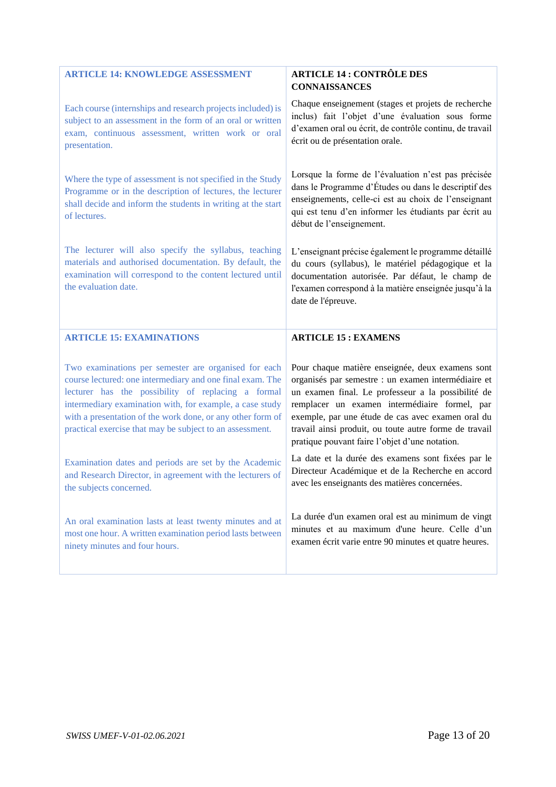<span id="page-12-1"></span><span id="page-12-0"></span>

| <b>ARTICLE 14: KNOWLEDGE ASSESSMENT</b>                                                                                                                                                                                                                                                                                                                       | <b>ARTICLE 14 : CONTRÔLE DES</b><br><b>CONNAISSANCES</b>                                                                                                                                                                                                                                                                                                                        |
|---------------------------------------------------------------------------------------------------------------------------------------------------------------------------------------------------------------------------------------------------------------------------------------------------------------------------------------------------------------|---------------------------------------------------------------------------------------------------------------------------------------------------------------------------------------------------------------------------------------------------------------------------------------------------------------------------------------------------------------------------------|
| Each course (internships and research projects included) is<br>subject to an assessment in the form of an oral or written<br>exam, continuous assessment, written work or oral<br>presentation.                                                                                                                                                               | Chaque enseignement (stages et projets de recherche<br>inclus) fait l'objet d'une évaluation sous forme<br>d'examen oral ou écrit, de contrôle continu, de travail<br>écrit ou de présentation orale.                                                                                                                                                                           |
| Where the type of assessment is not specified in the Study<br>Programme or in the description of lectures, the lecturer<br>shall decide and inform the students in writing at the start<br>of lectures.                                                                                                                                                       | Lorsque la forme de l'évaluation n'est pas précisée<br>dans le Programme d'Études ou dans le descriptif des<br>enseignements, celle-ci est au choix de l'enseignant<br>qui est tenu d'en informer les étudiants par écrit au<br>début de l'enseignement.                                                                                                                        |
| The lecturer will also specify the syllabus, teaching<br>materials and authorised documentation. By default, the<br>examination will correspond to the content lectured until<br>the evaluation date.                                                                                                                                                         | L'enseignant précise également le programme détaillé<br>du cours (syllabus), le matériel pédagogique et la<br>documentation autorisée. Par défaut, le champ de<br>l'examen correspond à la matière enseignée jusqu'à la<br>date de l'épreuve.                                                                                                                                   |
| <b>ARTICLE 15: EXAMINATIONS</b>                                                                                                                                                                                                                                                                                                                               | <b>ARTICLE 15: EXAMENS</b>                                                                                                                                                                                                                                                                                                                                                      |
| Two examinations per semester are organised for each<br>course lectured: one intermediary and one final exam. The<br>lecturer has the possibility of replacing a formal<br>intermediary examination with, for example, a case study<br>with a presentation of the work done, or any other form of<br>practical exercise that may be subject to an assessment. | Pour chaque matière enseignée, deux examens sont<br>organisés par semestre : un examen intermédiaire et<br>un examen final. Le professeur a la possibilité de<br>remplacer un examen intermédiaire formel, par<br>exemple, par une étude de cas avec examen oral du<br>travail ainsi produit, ou toute autre forme de travail<br>pratique pouvant faire l'objet d'une notation. |
| Examination dates and periods are set by the Academic                                                                                                                                                                                                                                                                                                         | La date et la durée des examens sont fixées par le                                                                                                                                                                                                                                                                                                                              |
| and Research Director, in agreement with the lecturers of<br>the subjects concerned.                                                                                                                                                                                                                                                                          | Directeur Académique et de la Recherche en accord<br>avec les enseignants des matières concernées.                                                                                                                                                                                                                                                                              |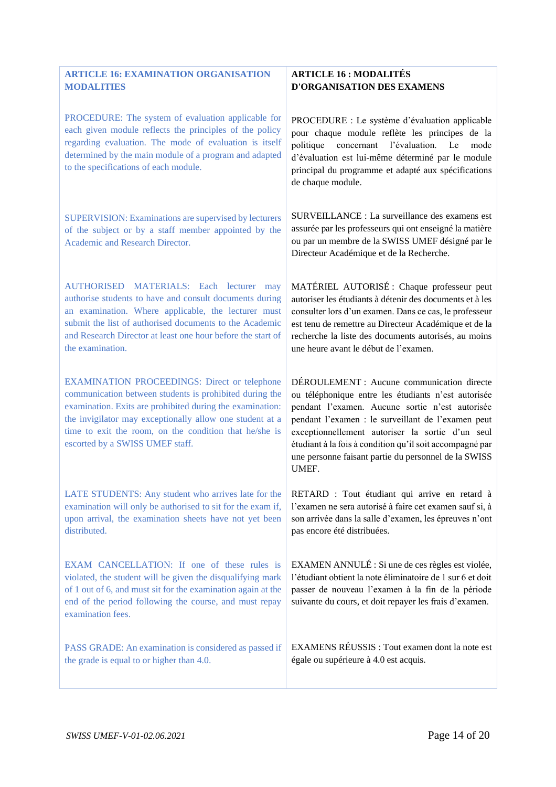#### <span id="page-13-0"></span>**ARTICLE 16: EXAMINATION ORGANISATION MODALITIES**

PROCEDURE: The system of evaluation applicable for each given module reflects the principles of the policy regarding evaluation. The mode of evaluation is itself determined by the main module of a program and adapted to the specifications of each module.

SUPERVISION: Examinations are supervised by lecturers of the subject or by a staff member appointed by the Academic and Research Director.

AUTHORISED MATERIALS: Each lecturer may authorise students to have and consult documents during an examination. Where applicable, the lecturer must submit the list of authorised documents to the Academic and Research Director at least one hour before the start of the examination.

EXAMINATION PROCEEDINGS: Direct or telephone communication between students is prohibited during the examination. Exits are prohibited during the examination: the invigilator may exceptionally allow one student at a time to exit the room, on the condition that he/she is escorted by a SWISS UMEF staff.

LATE STUDENTS: Any student who arrives late for the examination will only be authorised to sit for the exam if, upon arrival, the examination sheets have not yet been distributed.

EXAM CANCELLATION: If one of these rules is violated, the student will be given the disqualifying mark of 1 out of 6, and must sit for the examination again at the end of the period following the course, and must repay examination fees.

PASS GRADE: An examination is considered as passed if the grade is equal to or higher than 4.0.

#### **ARTICLE 16 : MODALITÉS D'ORGANISATION DES EXAMENS**

PROCEDURE : Le système d'évaluation applicable pour chaque module reflète les principes de la politique concernant l'évaluation. Le mode d'évaluation est lui-même déterminé par le module principal du programme et adapté aux spécifications de chaque module.

SURVEILLANCE : La surveillance des examens est assurée par les professeurs qui ont enseigné la matière ou par un membre de la SWISS UMEF désigné par le Directeur Académique et de la Recherche.

MATÉRIEL AUTORISÉ : Chaque professeur peut autoriser les étudiants à détenir des documents et à les consulter lors d'un examen. Dans ce cas, le professeur est tenu de remettre au Directeur Académique et de la recherche la liste des documents autorisés, au moins une heure avant le début de l'examen.

DÉROULEMENT : Aucune communication directe ou téléphonique entre les étudiants n'est autorisée pendant l'examen. Aucune sortie n'est autorisée pendant l'examen : le surveillant de l'examen peut exceptionnellement autoriser la sortie d'un seul étudiant à la fois à condition qu'il soit accompagné par une personne faisant partie du personnel de la SWISS UMEF.

RETARD : Tout étudiant qui arrive en retard à l'examen ne sera autorisé à faire cet examen sauf si, à son arrivée dans la salle d'examen, les épreuves n'ont pas encore été distribuées.

EXAMEN ANNULÉ : Si une de ces règles est violée, l'étudiant obtient la note éliminatoire de 1 sur 6 et doit passer de nouveau l'examen à la fin de la période suivante du cours, et doit repayer les frais d'examen.

EXAMENS RÉUSSIS : Tout examen dont la note est égale ou supérieure à 4.0 est acquis.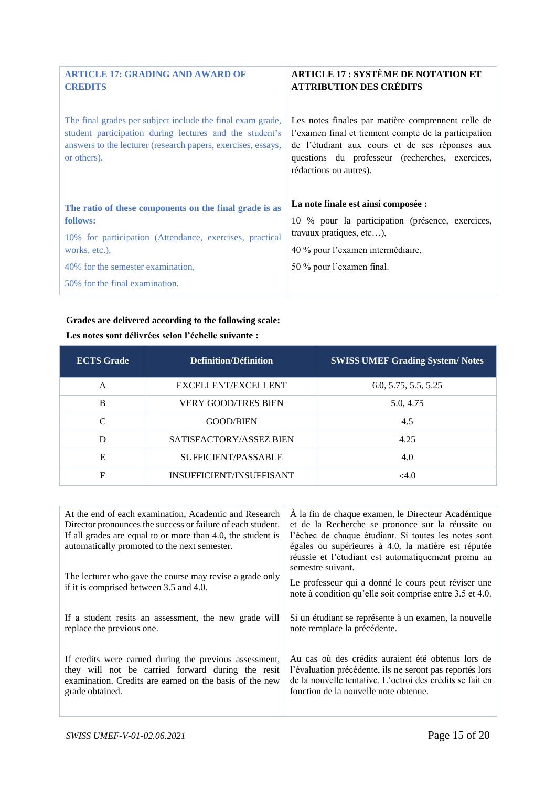<span id="page-14-0"></span>

| <b>ARTICLE 17: GRADING AND AWARD OF</b><br><b>CREDITS</b>                                                                                                                                            | <b>ARTICLE 17: SYSTÈME DE NOTATION ET</b><br><b>ATTRIBUTION DES CRÉDITS</b>                                                                                                                                                                |
|------------------------------------------------------------------------------------------------------------------------------------------------------------------------------------------------------|--------------------------------------------------------------------------------------------------------------------------------------------------------------------------------------------------------------------------------------------|
| The final grades per subject include the final exam grade,<br>student participation during lectures and the student's<br>answers to the lecturer (research papers, exercises, essays,<br>or others). | Les notes finales par matière comprennent celle de<br>l'examen final et tiennent compte de la participation<br>de l'étudiant aux cours et de ses réponses aux<br>questions du professeur (recherches, exercices,<br>rédactions ou autres). |
| The ratio of these components on the final grade is as                                                                                                                                               | La note finale est ainsi composée :                                                                                                                                                                                                        |
| follows:                                                                                                                                                                                             | 10 % pour la participation (présence, exercices,                                                                                                                                                                                           |
| 10% for participation (Attendance, exercises, practical                                                                                                                                              | travaux pratiques, etc),                                                                                                                                                                                                                   |
| works, etc.),                                                                                                                                                                                        | 40 % pour l'examen intermédiaire,                                                                                                                                                                                                          |
| 40% for the semester examination,                                                                                                                                                                    | 50 % pour l'examen final.                                                                                                                                                                                                                  |
| 50% for the final examination.                                                                                                                                                                       |                                                                                                                                                                                                                                            |

### **Grades are delivered according to the following scale:**

| <b>ECTS</b> Grade | Definition/Définition      | <b>SWISS UMEF Grading System/Notes</b> |
|-------------------|----------------------------|----------------------------------------|
| A                 | <b>EXCELLENT/EXCELLENT</b> | 6.0, 5.75, 5.5, 5.25                   |
| B                 | <b>VERY GOOD/TRES BIEN</b> | 5.0, 4.75                              |
| $\mathcal{C}$     | <b>GOOD/BIEN</b>           | 4.5                                    |
| D                 | SATISFACTORY/ASSEZ BIEN    | 4.25                                   |
| Е                 | SUFFICIENT/PASSABLE        | 4.0                                    |
| F                 | INSUFFICIENT/INSUFFISANT   | <4.0                                   |

**Les notes sont délivrées selon l'échelle suivante :** 

| At the end of each examination, Academic and Research<br>Director pronounces the success or failure of each student.<br>If all grades are equal to or more than 4.0, the student is<br>automatically promoted to the next semester. | À la fin de chaque examen, le Directeur Académique<br>et de la Recherche se prononce sur la réussite ou<br>l'échec de chaque étudiant. Si toutes les notes sont<br>égales ou supérieures à 4.0, la matière est réputée<br>réussie et l'étudiant est automatiquement promu au |
|-------------------------------------------------------------------------------------------------------------------------------------------------------------------------------------------------------------------------------------|------------------------------------------------------------------------------------------------------------------------------------------------------------------------------------------------------------------------------------------------------------------------------|
| The lecturer who gave the course may revise a grade only<br>if it is comprised between 3.5 and 4.0.                                                                                                                                 | semestre suivant.<br>Le professeur qui a donné le cours peut réviser une<br>note à condition qu'elle soit comprise entre 3.5 et 4.0.                                                                                                                                         |
| If a student resits an assessment, the new grade will<br>replace the previous one.                                                                                                                                                  | Si un étudiant se représente à un examen, la nouvelle<br>note remplace la précédente.                                                                                                                                                                                        |
| If credits were earned during the previous assessment,<br>they will not be carried forward during the resit<br>examination. Credits are earned on the basis of the new<br>grade obtained.                                           | Au cas où des crédits auraient été obtenus lors de<br>l'évaluation précédente, ils ne seront pas reportés lors<br>de la nouvelle tentative. L'octroi des crédits se fait en<br>fonction de la nouvelle note obtenue.                                                         |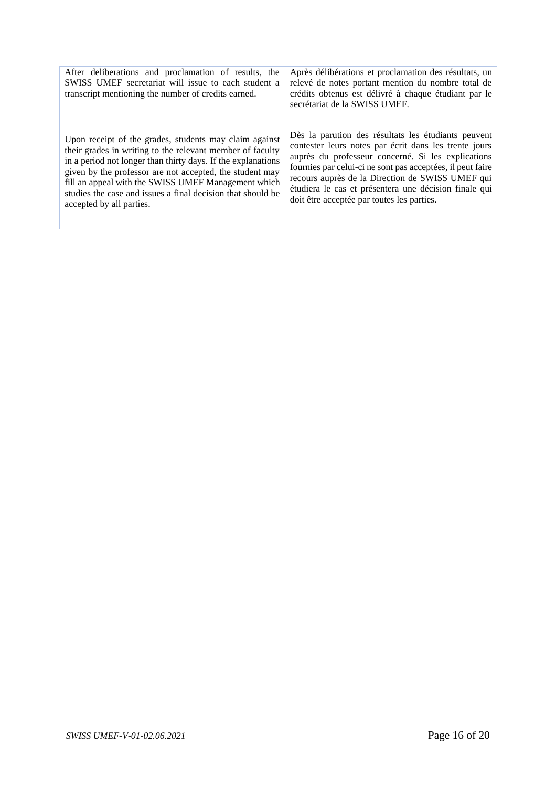| After deliberations and proclamation of results, the<br>SWISS UMEF secretariat will issue to each student a<br>transcript mentioning the number of credits earned. | Après délibérations et proclamation des résultats, un<br>relevé de notes portant mention du nombre total de<br>crédits obtenus est délivré à chaque étudiant par le<br>secrétariat de la SWISS UMEF. |
|--------------------------------------------------------------------------------------------------------------------------------------------------------------------|------------------------------------------------------------------------------------------------------------------------------------------------------------------------------------------------------|
| Upon receipt of the grades, students may claim against                                                                                                             | Dès la parution des résultats les étudiants peuvent                                                                                                                                                  |
| their grades in writing to the relevant member of faculty                                                                                                          | contester leurs notes par écrit dans les trente jours                                                                                                                                                |
| in a period not longer than thirty days. If the explanations                                                                                                       | auprès du professeur concerné. Si les explications                                                                                                                                                   |
| given by the professor are not accepted, the student may                                                                                                           | fournies par celui-ci ne sont pas acceptées, il peut faire                                                                                                                                           |
| fill an appeal with the SWISS UMEF Management which                                                                                                                | recours auprès de la Direction de SWISS UMEF qui                                                                                                                                                     |
| studies the case and issues a final decision that should be                                                                                                        | étudiera le cas et présentera une décision finale qui                                                                                                                                                |
| accepted by all parties.                                                                                                                                           | doit être acceptée par toutes les parties.                                                                                                                                                           |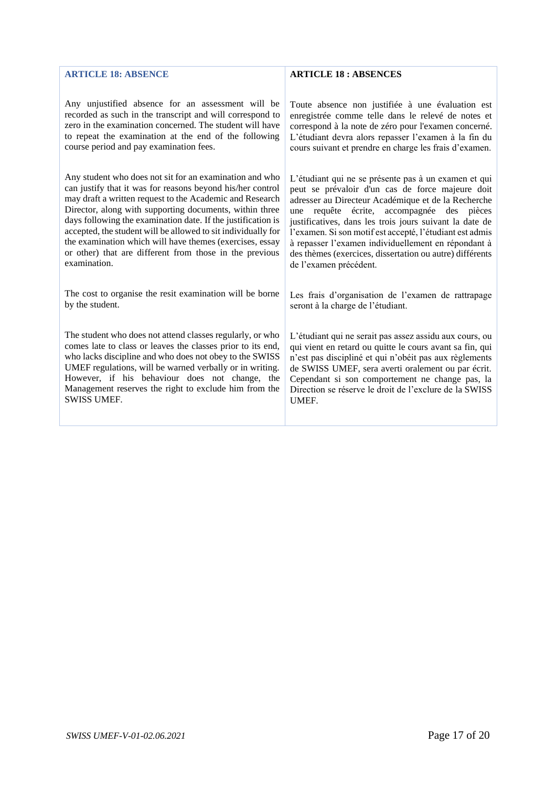#### <span id="page-16-0"></span>**ARTICLE 18: ABSENCE**

Any unjustified absence for an assessment will be recorded as such in the transcript and will correspond to zero in the examination concerned. The student will have to repeat the examination at the end of the following course period and pay examination fees.

Any student who does not sit for an examination and who can justify that it was for reasons beyond his/her control may draft a written request to the Academic and Research Director, along with supporting documents, within three days following the examination date. If the justification is accepted, the student will be allowed to sit individually for the examination which will have themes (exercises, essay or other) that are different from those in the previous examination.

The cost to organise the resit examination will be borne by the student.

The student who does not attend classes regularly, or who comes late to class or leaves the classes prior to its end, who lacks discipline and who does not obey to the SWISS UMEF regulations, will be warned verbally or in writing. However, if his behaviour does not change, the Management reserves the right to exclude him from the SWISS UMEF.

#### **ARTICLE 18 : ABSENCES**

Toute absence non justifiée à une évaluation est enregistrée comme telle dans le relevé de notes et correspond à la note de zéro pour l'examen concerné. L'étudiant devra alors repasser l'examen à la fin du cours suivant et prendre en charge les frais d'examen.

L'étudiant qui ne se présente pas à un examen et qui peut se prévaloir d'un cas de force majeure doit adresser au Directeur Académique et de la Recherche une requête écrite, accompagnée des pièces justificatives, dans les trois jours suivant la date de l'examen. Si son motif est accepté, l'étudiant est admis à repasser l'examen individuellement en répondant à des thèmes (exercices, dissertation ou autre) différents de l'examen précédent.

Les frais d'organisation de l'examen de rattrapage seront à la charge de l'étudiant.

L'étudiant qui ne serait pas assez assidu aux cours, ou qui vient en retard ou quitte le cours avant sa fin, qui n'est pas discipliné et qui n'obéit pas aux règlements de SWISS UMEF, sera averti oralement ou par écrit. Cependant si son comportement ne change pas, la Direction se réserve le droit de l'exclure de la SWISS **IMEE**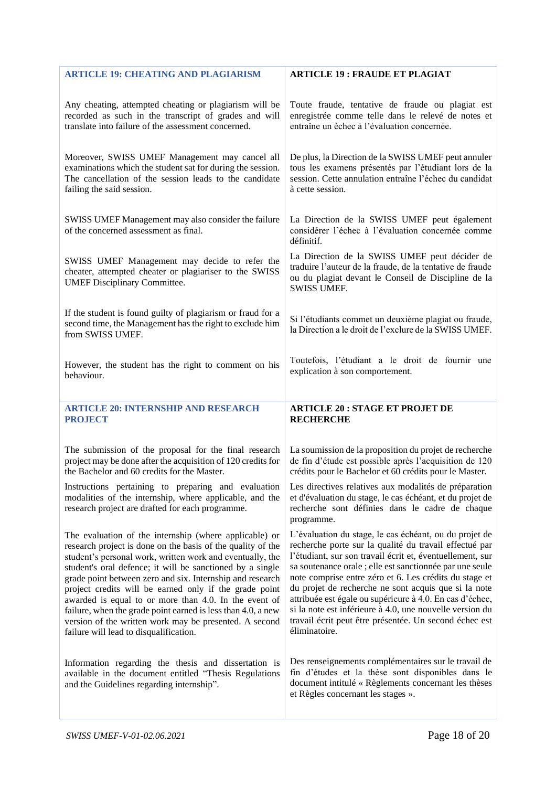<span id="page-17-1"></span><span id="page-17-0"></span>

| <b>ARTICLE 19: CHEATING AND PLAGIARISM</b>                                                                                                                         | <b>ARTICLE 19: FRAUDE ET PLAGIAT</b>                                                                                                                                                |
|--------------------------------------------------------------------------------------------------------------------------------------------------------------------|-------------------------------------------------------------------------------------------------------------------------------------------------------------------------------------|
| Any cheating, attempted cheating or plagiarism will be                                                                                                             | Toute fraude, tentative de fraude ou plagiat est                                                                                                                                    |
| recorded as such in the transcript of grades and will                                                                                                              | enregistrée comme telle dans le relevé de notes et                                                                                                                                  |
| translate into failure of the assessment concerned.                                                                                                                | entraîne un échec à l'évaluation concernée.                                                                                                                                         |
| Moreover, SWISS UMEF Management may cancel all                                                                                                                     | De plus, la Direction de la SWISS UMEF peut annuler                                                                                                                                 |
| examinations which the student sat for during the session.                                                                                                         | tous les examens présentés par l'étudiant lors de la                                                                                                                                |
| The cancellation of the session leads to the candidate                                                                                                             | session. Cette annulation entraîne l'échec du candidat                                                                                                                              |
| failing the said session.                                                                                                                                          | à cette session.                                                                                                                                                                    |
| SWISS UMEF Management may also consider the failure<br>of the concerned assessment as final.                                                                       | La Direction de la SWISS UMEF peut également<br>considérer l'échec à l'évaluation concernée comme<br>définitif.                                                                     |
| SWISS UMEF Management may decide to refer the<br>cheater, attempted cheater or plagiariser to the SWISS<br><b>UMEF Disciplinary Committee.</b>                     | La Direction de la SWISS UMEF peut décider de<br>traduire l'auteur de la fraude, de la tentative de fraude<br>ou du plagiat devant le Conseil de Discipline de la<br>SWISS UMEF.    |
| If the student is found guilty of plagiarism or fraud for a<br>second time, the Management has the right to exclude him<br>from SWISS UMEF.                        | Si l'étudiants commet un deuxième plagiat ou fraude,<br>la Direction a le droit de l'exclure de la SWISS UMEF.                                                                      |
| However, the student has the right to comment on his                                                                                                               | Toutefois, l'étudiant a le droit de fournir une                                                                                                                                     |
| behaviour.                                                                                                                                                         | explication à son comportement.                                                                                                                                                     |
|                                                                                                                                                                    |                                                                                                                                                                                     |
| <b>ARTICLE 20: INTERNSHIP AND RESEARCH</b>                                                                                                                         | <b>ARTICLE 20: STAGE ET PROJET DE</b>                                                                                                                                               |
| <b>PROJECT</b>                                                                                                                                                     | <b>RECHERCHE</b>                                                                                                                                                                    |
| The submission of the proposal for the final research                                                                                                              | La soumission de la proposition du projet de recherche                                                                                                                              |
| project may be done after the acquisition of 120 credits for                                                                                                       | de fin d'étude est possible après l'acquisition de 120                                                                                                                              |
| the Bachelor and 60 credits for the Master.                                                                                                                        | crédits pour le Bachelor et 60 crédits pour le Master.                                                                                                                              |
| Instructions pertaining to preparing and evaluation<br>modalities of the internship, where applicable, and the<br>research project are drafted for each programme. | Les directives relatives aux modalités de préparation<br>et d'évaluation du stage, le cas échéant, et du projet de<br>recherche sont définies dans le cadre de chaque<br>programme. |
| The evaluation of the internship (where applicable) or                                                                                                             | L'évaluation du stage, le cas échéant, ou du projet de                                                                                                                              |
| research project is done on the basis of the quality of the                                                                                                        | recherche porte sur la qualité du travail effectué par                                                                                                                              |
| student's personal work, written work and eventually, the                                                                                                          | l'étudiant, sur son travail écrit et, éventuellement, sur                                                                                                                           |
| student's oral defence; it will be sanctioned by a single                                                                                                          | sa soutenance orale ; elle est sanctionnée par une seule                                                                                                                            |
| grade point between zero and six. Internship and research                                                                                                          | note comprise entre zéro et 6. Les crédits du stage et                                                                                                                              |
| project credits will be earned only if the grade point                                                                                                             | du projet de recherche ne sont acquis que si la note                                                                                                                                |
| awarded is equal to or more than 4.0. In the event of                                                                                                              | attribuée est égale ou supérieure à 4.0. En cas d'échec,                                                                                                                            |
| failure, when the grade point earned is less than 4.0, a new                                                                                                       | si la note est inférieure à 4.0, une nouvelle version du                                                                                                                            |
| version of the written work may be presented. A second                                                                                                             | travail écrit peut être présentée. Un second échec est                                                                                                                              |
| failure will lead to disqualification.                                                                                                                             | éliminatoire.                                                                                                                                                                       |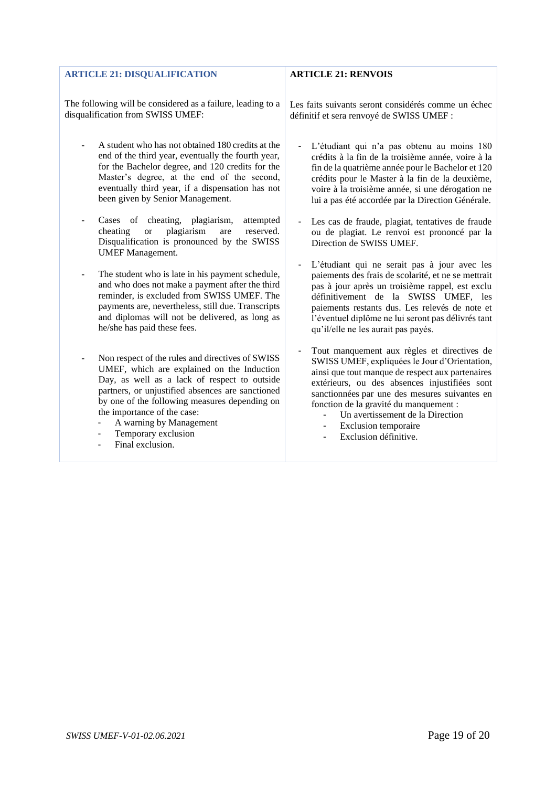<span id="page-18-0"></span>

| <b>ARTICLE 21: DISQUALIFICATION</b>                                                                                                                                                                                                                                                                                  | <b>ARTICLE 21: RENVOIS</b>                                                                                                                                                                                                                                                                                                                    |
|----------------------------------------------------------------------------------------------------------------------------------------------------------------------------------------------------------------------------------------------------------------------------------------------------------------------|-----------------------------------------------------------------------------------------------------------------------------------------------------------------------------------------------------------------------------------------------------------------------------------------------------------------------------------------------|
| The following will be considered as a failure, leading to a<br>disqualification from SWISS UMEF:                                                                                                                                                                                                                     | Les faits suivants seront considérés comme un échec<br>définitif et sera renvoyé de SWISS UMEF :                                                                                                                                                                                                                                              |
| A student who has not obtained 180 credits at the<br>end of the third year, eventually the fourth year,<br>for the Bachelor degree, and 120 credits for the<br>Master's degree, at the end of the second,<br>eventually third year, if a dispensation has not<br>been given by Senior Management.                    | L'étudiant qui n'a pas obtenu au moins 180<br>$\blacksquare$<br>crédits à la fin de la troisième année, voire à la<br>fin de la quatrième année pour le Bachelor et 120<br>crédits pour le Master à la fin de la deuxième,<br>voire à la troisième année, si une dérogation ne<br>lui a pas été accordée par la Direction Générale.           |
| Cases of cheating, plagiarism,<br>attempted<br>$\overline{\phantom{a}}$<br>reserved.<br>plagiarism<br>cheating<br>are<br><b>or</b><br>Disqualification is pronounced by the SWISS<br><b>UMEF</b> Management.                                                                                                         | Les cas de fraude, plagiat, tentatives de fraude<br>ou de plagiat. Le renvoi est prononcé par la<br>Direction de SWISS UMEF.                                                                                                                                                                                                                  |
| The student who is late in his payment schedule,<br>$\overline{\phantom{a}}$<br>and who does not make a payment after the third<br>reminder, is excluded from SWISS UMEF. The<br>payments are, nevertheless, still due. Transcripts<br>and diplomas will not be delivered, as long as<br>he/she has paid these fees. | L'étudiant qui ne serait pas à jour avec les<br>paiements des frais de scolarité, et ne se mettrait<br>pas à jour après un troisième rappel, est exclu<br>définitivement de la SWISS UMEF, les<br>paiements restants dus. Les relevés de note et<br>l'éventuel diplôme ne lui seront pas délivrés tant<br>qu'il/elle ne les aurait pas payés. |
| Non respect of the rules and directives of SWISS<br>$\overline{\phantom{a}}$<br>UMEF, which are explained on the Induction<br>Day, as well as a lack of respect to outside<br>partners, or unjustified absences are sanctioned<br>by one of the following measures depending on                                      | Tout manquement aux règles et directives de<br>$\blacksquare$<br>SWISS UMEF, expliquées le Jour d'Orientation,<br>ainsi que tout manque de respect aux partenaires<br>extérieurs, ou des absences injustifiées sont<br>sanctionnées par une des mesures suivantes en<br>fonction de la gravité du manquement :                                |

- the importance of the case:
- A warning by Management - Temporary exclusion
- Final exclusion.

- Les cas de fraude, plagiat, tentatives de fraude ou de plagiat. Le renvoi est prononcé par la
- L'étudiant qui ne serait pas à jour avec les paiements des frais de scolarité, et ne se mettrait pas à jour après un troisième rappel, est exclu définitivement de la SWISS UMEF, les paiements restants dus. Les relevés de note et l'éventuel diplôme ne lui seront pas délivrés tant

- Un avertissement de la Direction<br>- Exclusion temporaire
- Exclusion temporaire
- Exclusion définitive.